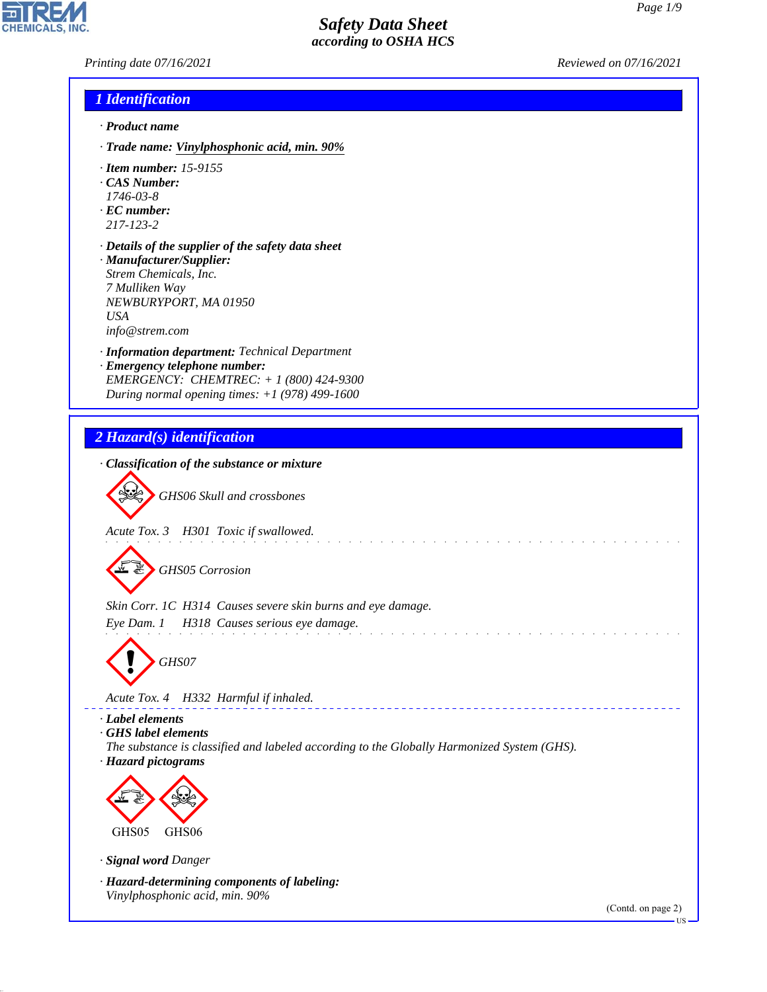*Printing date 07/16/2021 Reviewed on 07/16/2021*

**CHEMICALS** 

### *1 Identification*

- *· Product name*
- *· Trade name: Vinylphosphonic acid, min. 90%*
- *· Item number: 15-9155*
- *· CAS Number:*
- *1746-03-8*
- *· EC number: 217-123-2*
- 
- *· Details of the supplier of the safety data sheet · Manufacturer/Supplier: Strem Chemicals, Inc. 7 Mulliken Way NEWBURYPORT, MA 01950*
- *USA*

44.1.1

*info@strem.com*

- *· Information department: Technical Department*
- *· Emergency telephone number: EMERGENCY: CHEMTREC: + 1 (800) 424-9300 During normal opening times: +1 (978) 499-1600*

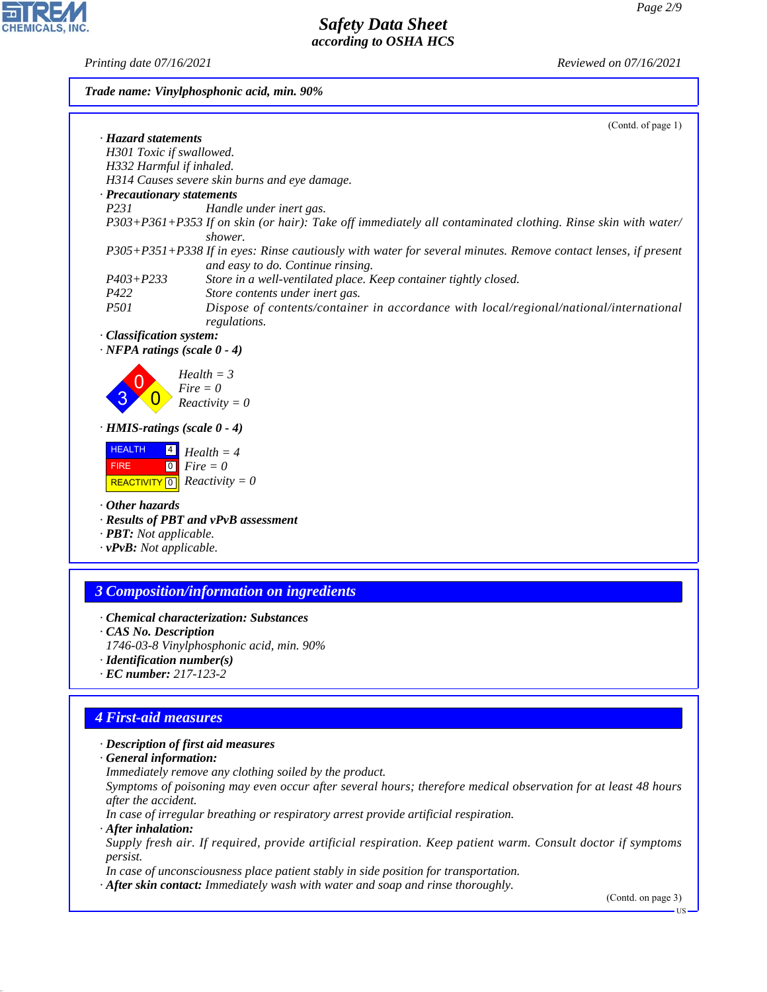**CHEMICALS, INC.** 

*Printing date 07/16/2021 Reviewed on 07/16/2021*

| Trade name: Vinylphosphonic acid, min. 90%                                                                                                                                                                                                                                                                                                 |  |  |
|--------------------------------------------------------------------------------------------------------------------------------------------------------------------------------------------------------------------------------------------------------------------------------------------------------------------------------------------|--|--|
| (Contd. of page 1)                                                                                                                                                                                                                                                                                                                         |  |  |
| · Hazard statements                                                                                                                                                                                                                                                                                                                        |  |  |
| H301 Toxic if swallowed.                                                                                                                                                                                                                                                                                                                   |  |  |
| H332 Harmful if inhaled.                                                                                                                                                                                                                                                                                                                   |  |  |
| H314 Causes severe skin burns and eye damage.                                                                                                                                                                                                                                                                                              |  |  |
| · Precautionary statements                                                                                                                                                                                                                                                                                                                 |  |  |
| P <sub>231</sub><br>Handle under inert gas.                                                                                                                                                                                                                                                                                                |  |  |
| P303+P361+P353 If on skin (or hair): Take off immediately all contaminated clothing. Rinse skin with water/<br>shower.                                                                                                                                                                                                                     |  |  |
| P305+P351+P338 If in eyes: Rinse cautiously with water for several minutes. Remove contact lenses, if present<br>and easy to do. Continue rinsing.                                                                                                                                                                                         |  |  |
| Store in a well-ventilated place. Keep container tightly closed.<br>$P403 + P233$                                                                                                                                                                                                                                                          |  |  |
| P422<br>Store contents under inert gas.                                                                                                                                                                                                                                                                                                    |  |  |
| <i>P501</i><br>Dispose of contents/container in accordance with local/regional/national/international<br>regulations.                                                                                                                                                                                                                      |  |  |
| · Classification system:                                                                                                                                                                                                                                                                                                                   |  |  |
| $\cdot$ NFPA ratings (scale $0 - 4$ )                                                                                                                                                                                                                                                                                                      |  |  |
| $Fire = 0$<br>$Reactivity = 0$<br>· HMIS-ratings (scale 0 - 4)<br><b>HEALTH</b><br>$\vert 4 \vert \vert$<br>$Health = 4$<br><b>FIRE</b><br> 0 <br>$Fire = 0$<br>$Reactivity = 0$<br>REACTIVITY <sup>0</sup><br>⋅ Other hazards<br>· Results of PBT and vPvB assessment<br>· <b>PBT</b> : Not applicable.<br>$\cdot v$ PvB: Not applicable. |  |  |
| <b>3 Composition/information on ingredients</b>                                                                                                                                                                                                                                                                                            |  |  |
| · Chemical characterization: Substances<br>· CAS No. Description<br>1746-03-8 Vinylphosphonic acid, min. 90%<br>$\cdot$ Identification number(s)<br>$\cdot$ EC number: 217-123-2                                                                                                                                                           |  |  |
| <b>4 First-aid measures</b>                                                                                                                                                                                                                                                                                                                |  |  |

- *· Description of first aid measures*
- *· General information:*
- *Immediately remove any clothing soiled by the product.*

*Symptoms of poisoning may even occur after several hours; therefore medical observation for at least 48 hours after the accident.*

*In case of irregular breathing or respiratory arrest provide artificial respiration.*

*· After inhalation:*

44.1.1

*Supply fresh air. If required, provide artificial respiration. Keep patient warm. Consult doctor if symptoms persist.*

*In case of unconsciousness place patient stably in side position for transportation.*

*· After skin contact: Immediately wash with water and soap and rinse thoroughly.*

(Contd. on page 3)

US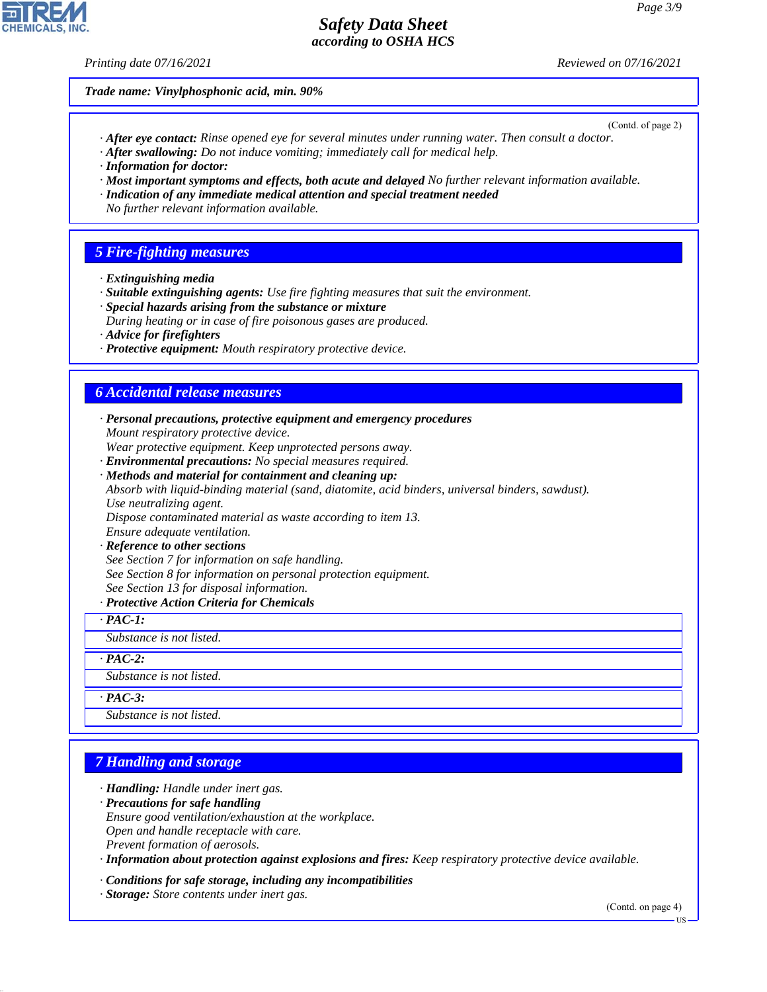*Printing date 07/16/2021 Reviewed on 07/16/2021*

*Trade name: Vinylphosphonic acid, min. 90%*

(Contd. of page 2)

- *· After eye contact: Rinse opened eye for several minutes under running water. Then consult a doctor.*
- *· After swallowing: Do not induce vomiting; immediately call for medical help.*
- *· Information for doctor:*
- *· Most important symptoms and effects, both acute and delayed No further relevant information available.*
- *· Indication of any immediate medical attention and special treatment needed*
- *No further relevant information available.*

### *5 Fire-fighting measures*

- *· Extinguishing media*
- *· Suitable extinguishing agents: Use fire fighting measures that suit the environment.*
- *· Special hazards arising from the substance or mixture*
- *During heating or in case of fire poisonous gases are produced.*
- *· Advice for firefighters*
- *· Protective equipment: Mouth respiratory protective device.*

#### *6 Accidental release measures*

- *· Personal precautions, protective equipment and emergency procedures Mount respiratory protective device.*
- *Wear protective equipment. Keep unprotected persons away.*
- *· Environmental precautions: No special measures required.*
- *· Methods and material for containment and cleaning up:*
- *Absorb with liquid-binding material (sand, diatomite, acid binders, universal binders, sawdust). Use neutralizing agent.*

*Dispose contaminated material as waste according to item 13.*

*Ensure adequate ventilation.*

#### *· Reference to other sections*

*See Section 7 for information on safe handling.*

*See Section 8 for information on personal protection equipment.*

- *See Section 13 for disposal information.*
- *· Protective Action Criteria for Chemicals*

*· PAC-1:*

*Substance is not listed.*

*· PAC-2:*

*Substance is not listed.*

*· PAC-3:*

44.1.1

*Substance is not listed.*

## *7 Handling and storage*

- *· Handling: Handle under inert gas.*
- *· Precautions for safe handling Ensure good ventilation/exhaustion at the workplace. Open and handle receptacle with care. Prevent formation of aerosols.*
- *· Information about protection against explosions and fires: Keep respiratory protective device available.*
- *· Conditions for safe storage, including any incompatibilities*
- *· Storage: Store contents under inert gas.*

(Contd. on page 4)



US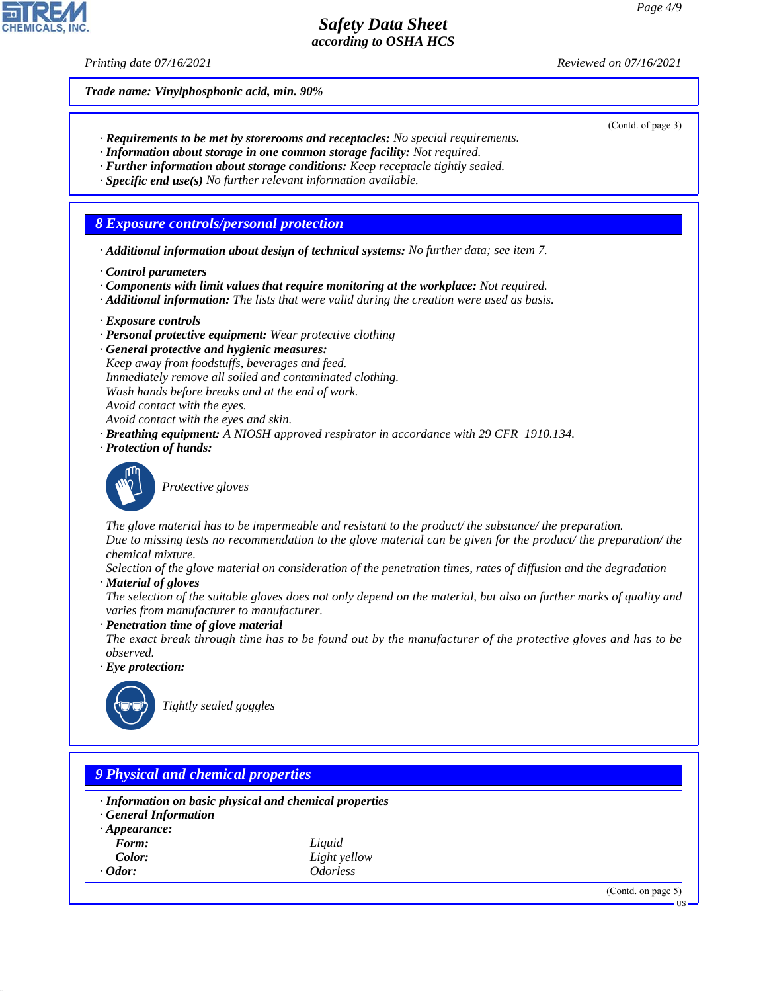*Printing date 07/16/2021 Reviewed on 07/16/2021*

(Contd. of page 3)

*Trade name: Vinylphosphonic acid, min. 90%*

- *· Requirements to be met by storerooms and receptacles: No special requirements.*
- *· Information about storage in one common storage facility: Not required.*
- *· Further information about storage conditions: Keep receptacle tightly sealed.*
- *· Specific end use(s) No further relevant information available.*

#### *8 Exposure controls/personal protection*

- *· Additional information about design of technical systems: No further data; see item 7.*
- *· Control parameters*
- *· Components with limit values that require monitoring at the workplace: Not required.*
- *· Additional information: The lists that were valid during the creation were used as basis.*
- *· Exposure controls*
- *· Personal protective equipment: Wear protective clothing*
- *· General protective and hygienic measures: Keep away from foodstuffs, beverages and feed. Immediately remove all soiled and contaminated clothing.*
- *Wash hands before breaks and at the end of work.*
- *Avoid contact with the eyes.*

*Avoid contact with the eyes and skin.*

- *· Breathing equipment: A NIOSH approved respirator in accordance with 29 CFR 1910.134.*
- *· Protection of hands:*



\_S*Protective gloves*

*The glove material has to be impermeable and resistant to the product/ the substance/ the preparation. Due to missing tests no recommendation to the glove material can be given for the product/ the preparation/ the chemical mixture.*

*Selection of the glove material on consideration of the penetration times, rates of diffusion and the degradation · Material of gloves*

*The selection of the suitable gloves does not only depend on the material, but also on further marks of quality and varies from manufacturer to manufacturer.*

*· Penetration time of glove material*

*The exact break through time has to be found out by the manufacturer of the protective gloves and has to be observed.*

*· Eye protection:*



\_R*Tightly sealed goggles*

## *9 Physical and chemical properties*

- *· Information on basic physical and chemical properties*
- *· General Information*
- *· Appearance:*
- *Form: Liquid*

44.1.1

- 
- *Color: Light yellow · Odor: Odorless*

(Contd. on page 5)

US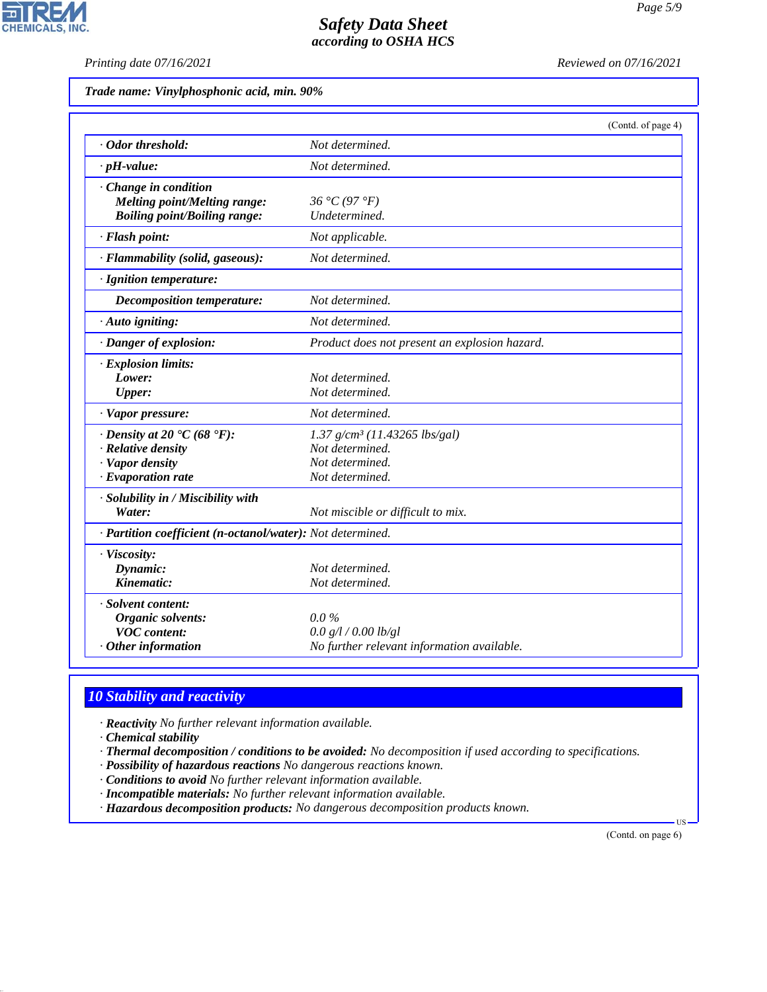$\overline{\phantom{a}}$ 

**CHEMICALS, INC.** 

*Printing date 07/16/2021 Reviewed on 07/16/2021*

|  | Trade name: Vinylphosphonic acid, min. 90% |  |
|--|--------------------------------------------|--|
|--|--------------------------------------------|--|

|                                                            | (Contd. of page 4)                            |  |
|------------------------------------------------------------|-----------------------------------------------|--|
| · Odor threshold:                                          | Not determined.                               |  |
| $\cdot$ pH-value:                                          | Not determined.                               |  |
| Change in condition                                        |                                               |  |
| <b>Melting point/Melting range:</b>                        | 36 °C (97 °F)                                 |  |
| <b>Boiling point/Boiling range:</b>                        | Undetermined.                                 |  |
| · Flash point:                                             | Not applicable.                               |  |
| · Flammability (solid, gaseous):                           | Not determined.                               |  |
| · Ignition temperature:                                    |                                               |  |
| <b>Decomposition temperature:</b>                          | Not determined.                               |  |
| · Auto igniting:                                           | Not determined.                               |  |
| · Danger of explosion:                                     | Product does not present an explosion hazard. |  |
| · Explosion limits:                                        |                                               |  |
| Lower:                                                     | Not determined.                               |  |
| <b>Upper:</b>                                              | Not determined.                               |  |
| · Vapor pressure:                                          | Not determined.                               |  |
| $\cdot$ Density at 20 $\cdot$ C (68 $\cdot$ F):            | 1.37 g/cm <sup>3</sup> (11.43265 lbs/gal)     |  |
| · Relative density                                         | Not determined.                               |  |
| · Vapor density                                            | Not determined.                               |  |
| $\cdot$ Evaporation rate                                   | Not determined.                               |  |
| · Solubility in / Miscibility with                         |                                               |  |
| Water:                                                     | Not miscible or difficult to mix.             |  |
| · Partition coefficient (n-octanol/water): Not determined. |                                               |  |
| · Viscosity:                                               |                                               |  |
| Dynamic:                                                   | Not determined.                               |  |
| Kinematic:                                                 | Not determined.                               |  |
| · Solvent content:                                         |                                               |  |
| Organic solvents:                                          | $0.0\%$                                       |  |
| <b>VOC</b> content:                                        | 0.0 g/l / 0.00 lb/gl                          |  |
| $·$ Other information                                      | No further relevant information available.    |  |

# *10 Stability and reactivity*

*· Reactivity No further relevant information available.*

*· Chemical stability*

44.1.1

- *· Thermal decomposition / conditions to be avoided: No decomposition if used according to specifications.*
- *· Possibility of hazardous reactions No dangerous reactions known.*
- *· Conditions to avoid No further relevant information available.*
- *· Incompatible materials: No further relevant information available.*
- *· Hazardous decomposition products: No dangerous decomposition products known.*

(Contd. on page 6)

**US**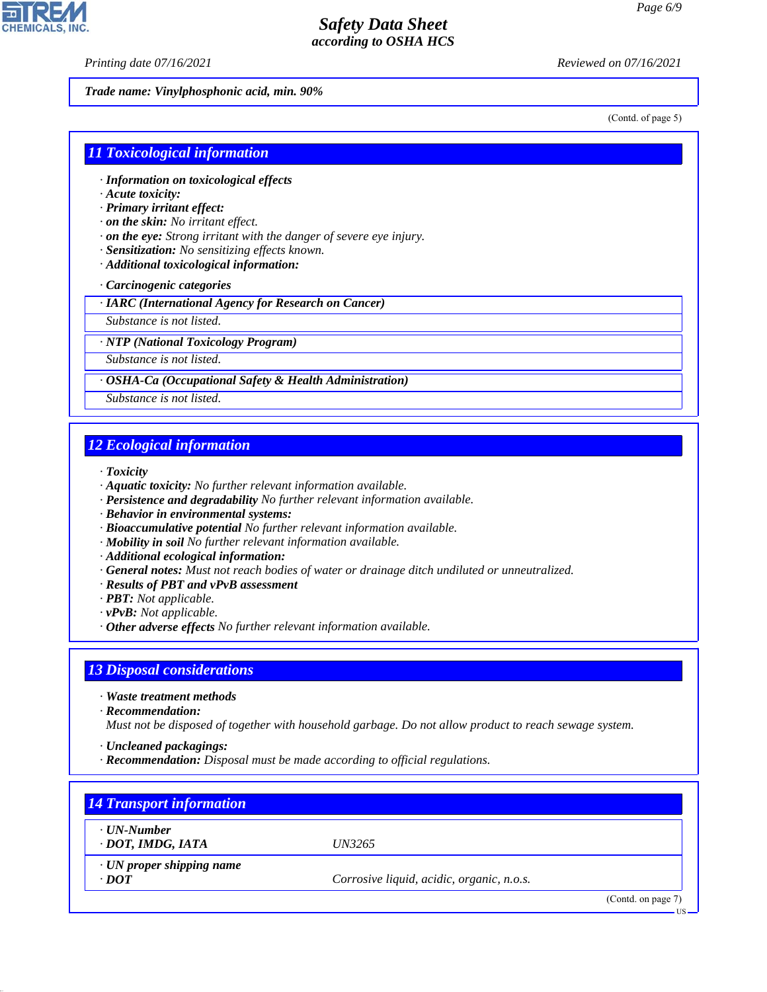*Printing date 07/16/2021 Reviewed on 07/16/2021*

*Trade name: Vinylphosphonic acid, min. 90%*

(Contd. of page 5)

#### *11 Toxicological information*

- *· Information on toxicological effects*
- *· Acute toxicity:*
- *· Primary irritant effect:*
- *· on the skin: No irritant effect.*
- *· on the eye: Strong irritant with the danger of severe eye injury.*
- *· Sensitization: No sensitizing effects known.*
- *· Additional toxicological information:*

*· Carcinogenic categories*

*· IARC (International Agency for Research on Cancer)*

*Substance is not listed.*

*· NTP (National Toxicology Program)*

*Substance is not listed.*

*· OSHA-Ca (Occupational Safety & Health Administration)*

*Substance is not listed.*

### *12 Ecological information*

*· Toxicity*

- *· Aquatic toxicity: No further relevant information available.*
- *· Persistence and degradability No further relevant information available.*
- *· Behavior in environmental systems:*
- *· Bioaccumulative potential No further relevant information available.*
- *· Mobility in soil No further relevant information available.*
- *· Additional ecological information:*
- *· General notes: Must not reach bodies of water or drainage ditch undiluted or unneutralized.*
- *· Results of PBT and vPvB assessment*
- *· PBT: Not applicable.*
- *· vPvB: Not applicable.*
- *· Other adverse effects No further relevant information available.*

#### *13 Disposal considerations*

*· Waste treatment methods*

*· Recommendation:*

44.1.1

*Must not be disposed of together with household garbage. Do not allow product to reach sewage system.*

*· Uncleaned packagings:*

*· Recommendation: Disposal must be made according to official regulations.*

| <b>14 Transport information</b>  |                                           |  |
|----------------------------------|-------------------------------------------|--|
| · UN-Number<br>· DOT, IMDG, IATA | <i>UN3265</i>                             |  |
| $\cdot$ UN proper shipping name  |                                           |  |
| $\cdot$ DOT                      | Corrosive liquid, acidic, organic, n.o.s. |  |

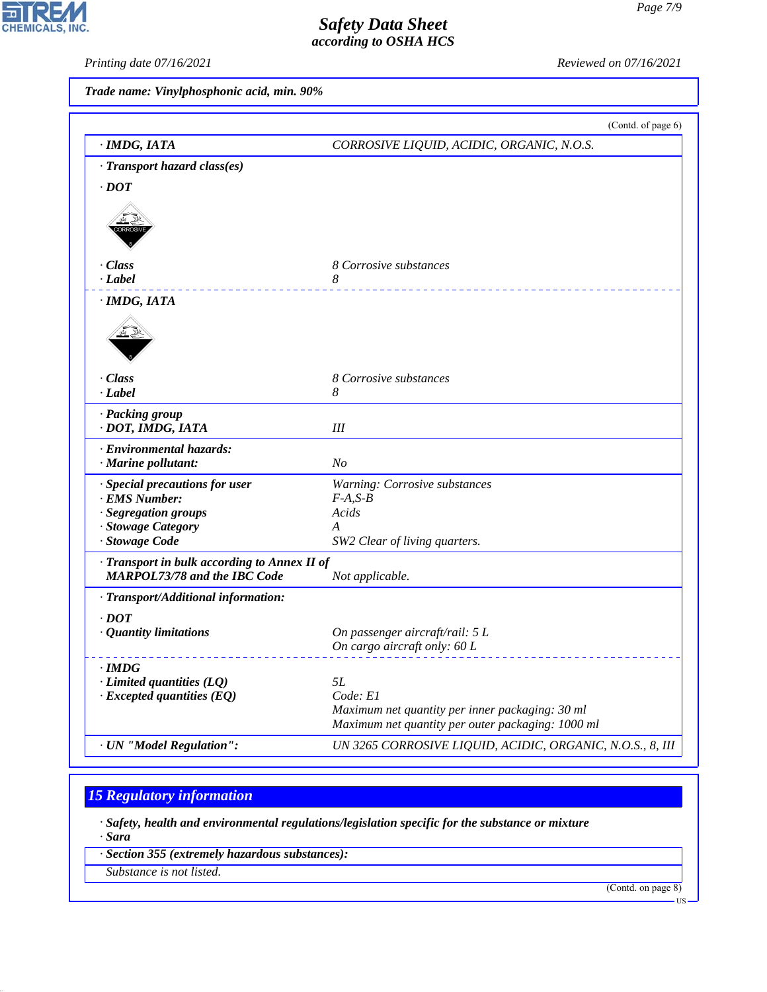CHEMICALS, INC.

*Printing date 07/16/2021 Reviewed on 07/16/2021*

*Trade name: Vinylphosphonic acid, min. 90%*

|                                            | (Contd. of page 6)                                        |
|--------------------------------------------|-----------------------------------------------------------|
| · IMDG, IATA                               | CORROSIVE LIQUID, ACIDIC, ORGANIC, N.O.S.                 |
| · Transport hazard class(es)               |                                                           |
| $\cdot$ DOT                                |                                                           |
|                                            |                                                           |
|                                            |                                                           |
|                                            |                                                           |
| · Class                                    |                                                           |
| · Label                                    | 8 Corrosive substances<br>8                               |
|                                            |                                                           |
| · IMDG, IATA                               |                                                           |
|                                            |                                                           |
|                                            |                                                           |
|                                            |                                                           |
| · Class                                    | 8 Corrosive substances                                    |
| · Label                                    | 8                                                         |
| · Packing group                            |                                                           |
| · DOT, IMDG, IATA                          | III                                                       |
| · Environmental hazards:                   |                                                           |
| · Marine pollutant:                        | N <sub>o</sub>                                            |
| · Special precautions for user             | Warning: Corrosive substances                             |
| · EMS Number:<br>· Segregation groups      | $F-A, S-B$<br>Acids                                       |
| · Stowage Category                         | A                                                         |
| · Stowage Code                             | SW2 Clear of living quarters.                             |
| Transport in bulk according to Annex II of |                                                           |
| <b>MARPOL73/78 and the IBC Code</b>        | Not applicable.                                           |
| · Transport/Additional information:        |                                                           |
|                                            |                                                           |
| $\cdot$ DOT<br>· Quantity limitations      | On passenger aircraft/rail: 5 L                           |
|                                            | On cargo aircraft only: 60 L                              |
| $\cdot$ IMDG                               |                                                           |
| $\cdot$ Limited quantities (LQ)            | 5L                                                        |
| $\cdot$ Excepted quantities (EQ)           | Code: E1                                                  |
|                                            | Maximum net quantity per inner packaging: 30 ml           |
|                                            | Maximum net quantity per outer packaging: 1000 ml         |
| · UN "Model Regulation":                   | UN 3265 CORROSIVE LIQUID, ACIDIC, ORGANIC, N.O.S., 8, III |

# *15 Regulatory information*

*· Safety, health and environmental regulations/legislation specific for the substance or mixture*

*· Sara*

44.1.1

*· Section 355 (extremely hazardous substances):*

*Substance is not listed.*

(Contd. on page 8)

US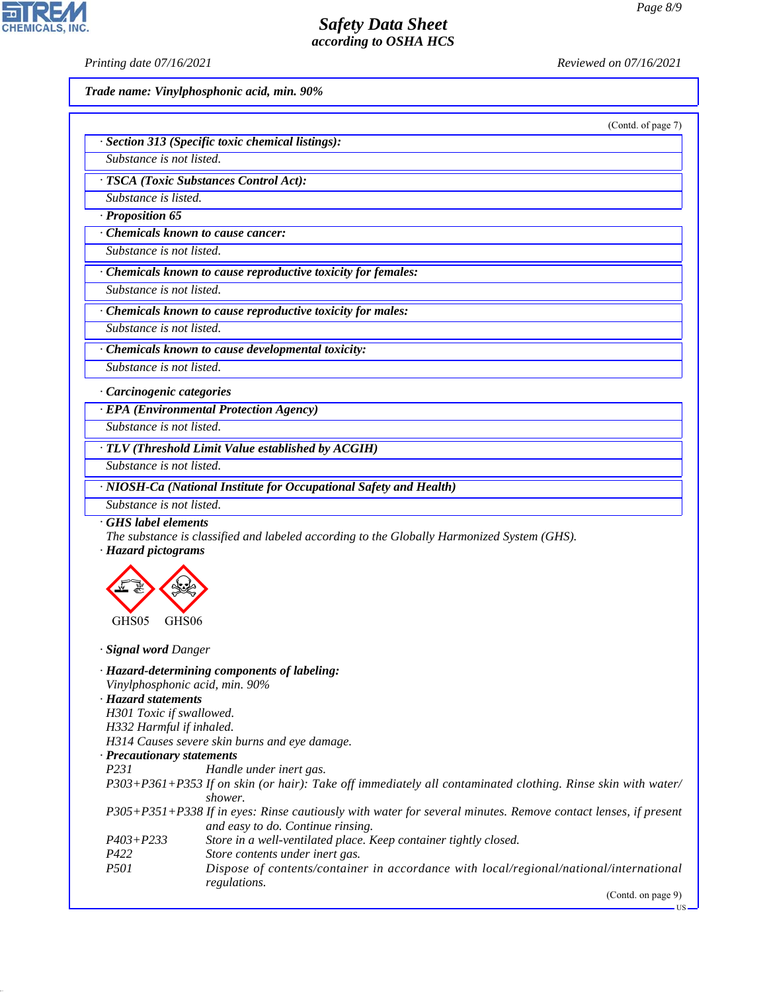**CHEMICALS, INC.** 

*Printing date 07/16/2021 Reviewed on 07/16/2021*

*Trade name: Vinylphosphonic acid, min. 90%*

| (Contd. of page 7) |  |
|--------------------|--|
|                    |  |

| · Section 313 (Specific toxic chemical listings): |  |
|---------------------------------------------------|--|
| Substance is not listed.                          |  |

*· TSCA (Toxic Substances Control Act):*

*Substance is listed.*

*· Proposition 65*

*· Chemicals known to cause cancer:*

*Substance is not listed.*

*· Chemicals known to cause reproductive toxicity for females:*

*Substance is not listed.*

*· Chemicals known to cause reproductive toxicity for males:*

*Substance is not listed.*

*· Chemicals known to cause developmental toxicity:*

*Substance is not listed.*

*· Carcinogenic categories*

*· EPA (Environmental Protection Agency)*

*Substance is not listed.*

*· TLV (Threshold Limit Value established by ACGIH)*

*Substance is not listed.*

*· NIOSH-Ca (National Institute for Occupational Safety and Health)*

*Substance is not listed.*

*· GHS label elements*

*The substance is classified and labeled according to the Globally Harmonized System (GHS).*

*· Hazard pictograms*



*· Signal word Danger*

44.1.1

|                                | · Hazard-determining components of labeling:                                                                                                       |
|--------------------------------|----------------------------------------------------------------------------------------------------------------------------------------------------|
| Vinylphosphonic acid, min. 90% |                                                                                                                                                    |
| · Hazard statements            |                                                                                                                                                    |
| H301 Toxic if swallowed.       |                                                                                                                                                    |
| H332 Harmful if inhaled.       |                                                                                                                                                    |
|                                | H314 Causes severe skin burns and eye damage.                                                                                                      |
| · Precautionary statements     |                                                                                                                                                    |
| <i>P231</i>                    | Handle under inert gas.                                                                                                                            |
|                                | $P303+P361+P353$ If on skin (or hair): Take off immediately all contaminated clothing. Rinse skin with water/                                      |
|                                | shower.                                                                                                                                            |
|                                | P305+P351+P338 If in eyes: Rinse cautiously with water for several minutes. Remove contact lenses, if present<br>and easy to do. Continue rinsing. |
| $P403 + P233$                  | Store in a well-ventilated place. Keep container tightly closed.                                                                                   |
| P422                           | Store contents under inert gas.                                                                                                                    |
| <i>P501</i>                    | Dispose of contents/container in accordance with local/regional/national/international<br>regulations.                                             |
|                                | (Contd. on page 9)                                                                                                                                 |